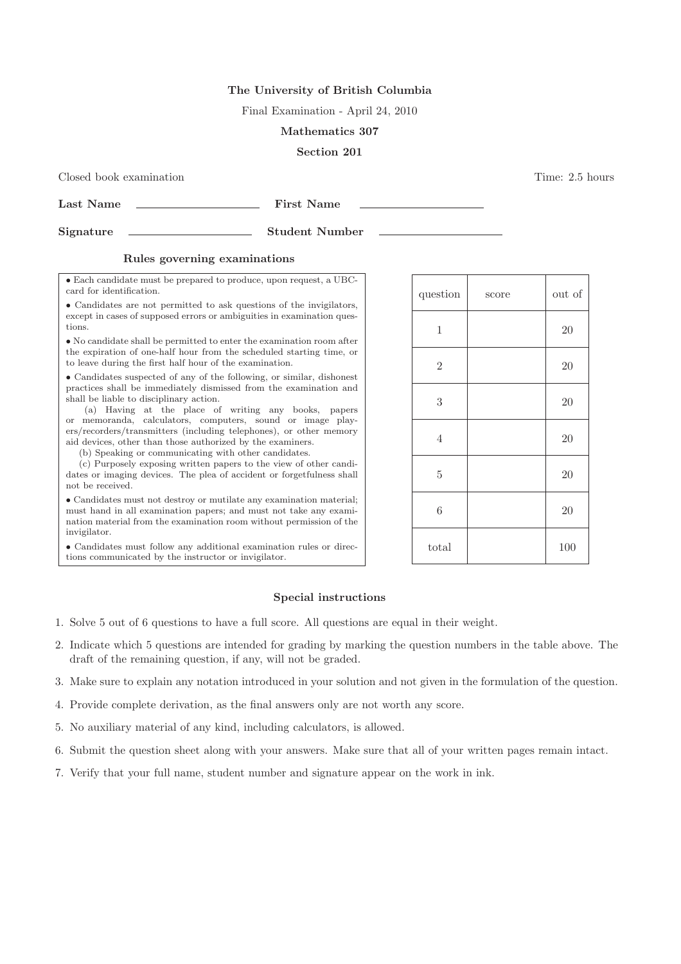# The University of British Columbia

Final Examination - April 24, 2010

## Mathematics 307

# Section 201

### Closed book examination Time: 2.5 hours

Last Name First Name

Signature Student Number

# Rules governing examinations

• Each candidate must be prepared to produce, upon request, a UBCcard for identification.

• Candidates are not permitted to ask questions of the invigilators, except in cases of supposed errors or ambiguities in examination questions.

• No candidate shall be permitted to enter the examination room after the expiration of one-half hour from the scheduled starting time, or to leave during the first half hour of the examination.

• Candidates suspected of any of the following, or similar, dishonest practices shall be immediately dismissed from the examination and shall be liable to disciplinary action.

(a) Having at the place of writing any books, papers or memoranda, calculators, computers, sound or image players/recorders/transmitters (including telephones), or other memory aid devices, other than those authorized by the examiners.

(b) Speaking or communicating with other candidates.

(c) Purposely exposing written papers to the view of other candidates or imaging devices. The plea of accident or forgetfulness shall not be received.

• Candidates must not destroy or mutilate any examination material; must hand in all examination papers; and must not take any examination material from the examination room without permission of the invigilator.

• Candidates must follow any additional examination rules or directions communicated by the instructor or invigilator.

| question       | score | out of |
|----------------|-------|--------|
| $\mathbf{1}$   |       | 20     |
| $\overline{2}$ |       | 20     |
| 3              |       | 20     |
| $\overline{4}$ |       | 20     |
| $\bf 5$        |       | 20     |
| $\sqrt{6}$     |       | 20     |
| total          |       | 100    |

# Special instructions

- 1. Solve 5 out of 6 questions to have a full score. All questions are equal in their weight.
- 2. Indicate which 5 questions are intended for grading by marking the question numbers in the table above. The draft of the remaining question, if any, will not be graded.
- 3. Make sure to explain any notation introduced in your solution and not given in the formulation of the question.
- 4. Provide complete derivation, as the final answers only are not worth any score.
- 5. No auxiliary material of any kind, including calculators, is allowed.
- 6. Submit the question sheet along with your answers. Make sure that all of your written pages remain intact.
- 7. Verify that your full name, student number and signature appear on the work in ink.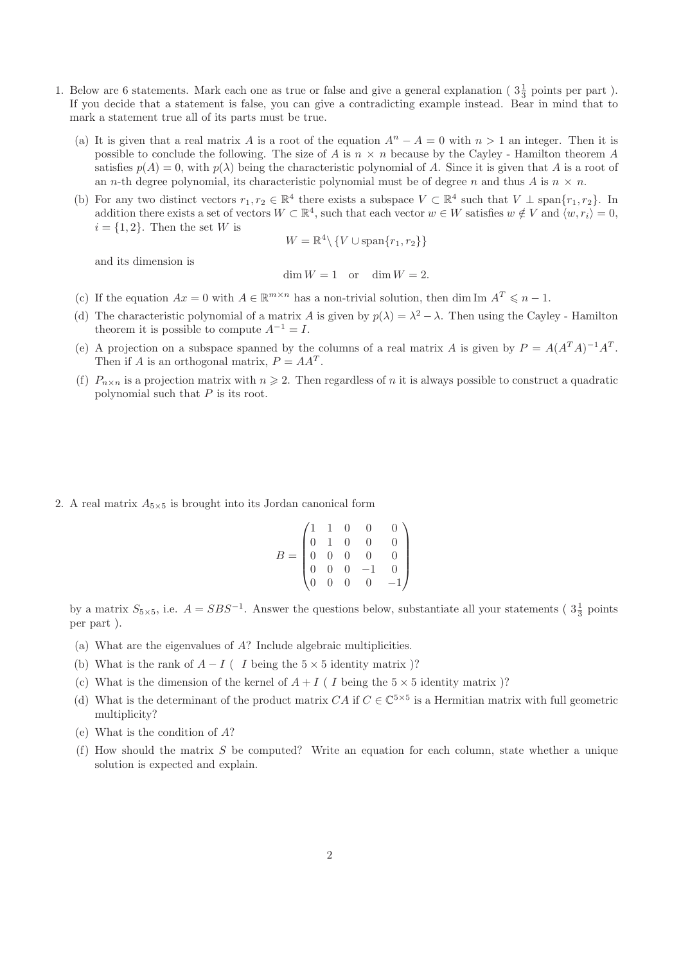- 1. Below are 6 statements. Mark each one as true or false and give a general explanation ( $3\frac{1}{3}$  points per part). If you decide that a statement is false, you can give a contradicting example instead. Bear in mind that to mark a statement true all of its parts must be true.
	- (a) It is given that a real matrix A is a root of the equation  $A^n A = 0$  with  $n > 1$  an integer. Then it is possible to conclude the following. The size of A is  $n \times n$  because by the Cayley - Hamilton theorem A satisfies  $p(A) = 0$ , with  $p(\lambda)$  being the characteristic polynomial of A. Since it is given that A is a root of an *n*-th degree polynomial, its characteristic polynomial must be of degree *n* and thus *A* is  $n \times n$ .
	- (b) For any two distinct vectors  $r_1, r_2 \in \mathbb{R}^4$  there exists a subspace  $V \subset \mathbb{R}^4$  such that  $V \perp \text{span}\{r_1, r_2\}$ . In addition there exists a set of vectors  $W \subset \mathbb{R}^4$ , such that each vector  $w \in W$  satisfies  $w \notin V$  and  $\langle w, r_i \rangle = 0$ ,  $i = \{1, 2\}$ . Then the set W is

$$
W=\mathbb{R}^4\backslash\left\{V\cup\text{span}\{r_1,r_2\}\right\}
$$

and its dimension is

$$
\dim W = 1 \quad \text{or} \quad \dim W = 2
$$

- (c) If the equation  $Ax = 0$  with  $A \in \mathbb{R}^{m \times n}$  has a non-trivial solution, then dim Im  $A^T \leq n 1$ .
- (d) The characteristic polynomial of a matrix A is given by  $p(\lambda) = \lambda^2 \lambda$ . Then using the Cayley Hamilton theorem it is possible to compute  $A^{-1} = I$ .
- (e) A projection on a subspace spanned by the columns of a real matrix A is given by  $P = A(A^T A)^{-1} A^T$ . Then if A is an orthogonal matrix,  $P = AA^T$ .
- (f)  $P_{n\times n}$  is a projection matrix with  $n \geq 2$ . Then regardless of n it is always possible to construct a quadratic polynomial such that  $P$  is its root.

2. A real matrix  $A_{5\times 5}$  is brought into its Jordan canonical form

$$
B = \begin{pmatrix} 1 & 1 & 0 & 0 & 0 \\ 0 & 1 & 0 & 0 & 0 \\ 0 & 0 & 0 & 0 & 0 \\ 0 & 0 & 0 & -1 & 0 \\ 0 & 0 & 0 & 0 & -1 \end{pmatrix}
$$

by a matrix  $S_{5\times 5}$ , i.e.  $A = SBS^{-1}$ . Answer the questions below, substantiate all your statements ( $3\frac{1}{3}$  points per part ).

- (a) What are the eigenvalues of A? Include algebraic multiplicities.
- (b) What is the rank of  $A I$  ( I being the  $5 \times 5$  identity matrix )?
- (c) What is the dimension of the kernel of  $A + I$  ( I being the  $5 \times 5$  identity matrix )?
- (d) What is the determinant of the product matrix  $CA$  if  $C \in \mathbb{C}^{5 \times 5}$  is a Hermitian matrix with full geometric multiplicity?
- (e) What is the condition of A?
- (f) How should the matrix  $S$  be computed? Write an equation for each column, state whether a unique solution is expected and explain.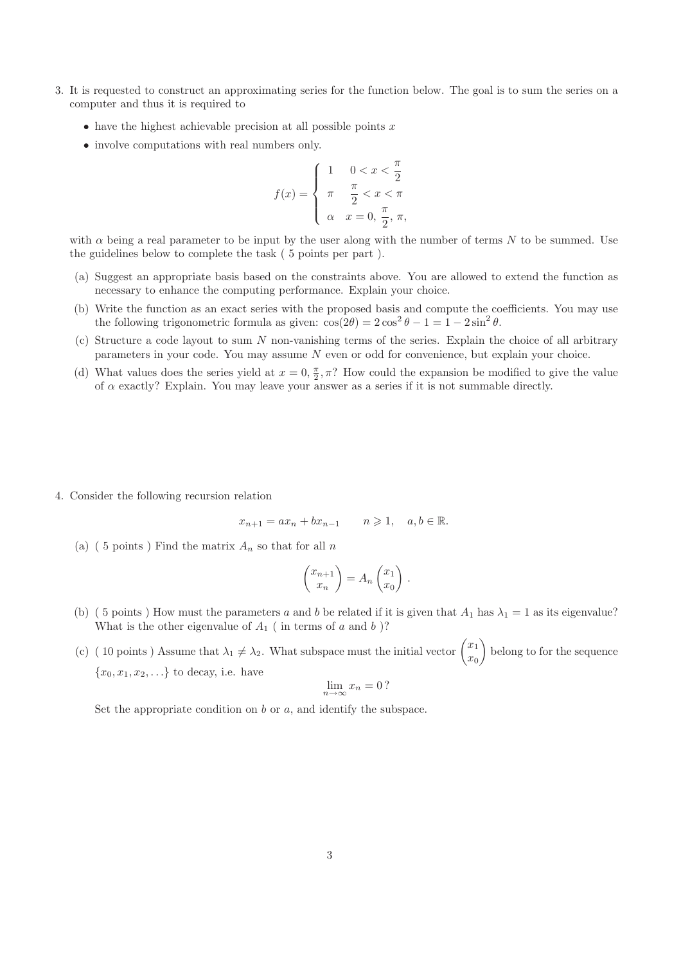- 3. It is requested to construct an approximating series for the function below. The goal is to sum the series on a computer and thus it is required to
	- $\bullet$  have the highest achievable precision at all possible points x
	- involve computations with real numbers only.

$$
f(x) = \begin{cases} 1 & 0 < x < \frac{\pi}{2} \\ \pi & \frac{\pi}{2} < x < \pi \\ \alpha & x = 0, \frac{\pi}{2}, \pi, \end{cases}
$$

with  $\alpha$  being a real parameter to be input by the user along with the number of terms N to be summed. Use the guidelines below to complete the task ( 5 points per part ).

- (a) Suggest an appropriate basis based on the constraints above. You are allowed to extend the function as necessary to enhance the computing performance. Explain your choice.
- (b) Write the function as an exact series with the proposed basis and compute the coefficients. You may use the following trigonometric formula as given:  $\cos(2\theta) = 2\cos^2\theta - 1 = 1 - 2\sin^2\theta$ .
- (c) Structure a code layout to sum N non-vanishing terms of the series. Explain the choice of all arbitrary parameters in your code. You may assume N even or odd for convenience, but explain your choice.
- (d) What values does the series yield at  $x = 0, \frac{\pi}{2}$  $\frac{\pi}{2}, \pi$ ? How could the expansion be modified to give the value of  $\alpha$  exactly? Explain. You may leave your answer as a series if it is not summable directly.

4. Consider the following recursion relation

$$
x_{n+1} = ax_n + bx_{n-1} \qquad n \geqslant 1, \quad a, b \in \mathbb{R}.
$$

(a) (5 points) Find the matrix  $A_n$  so that for all n

$$
\begin{pmatrix} x_{n+1} \\ x_n \end{pmatrix} = A_n \begin{pmatrix} x_1 \\ x_0 \end{pmatrix} .
$$

- (b) (5 points) How must the parameters a and b be related if it is given that  $A_1$  has  $\lambda_1 = 1$  as its eigenvalue? What is the other eigenvalue of  $A_1$  (in terms of a and b)?
- (c) ( 10 points ) Assume that  $\lambda_1 \neq \lambda_2$ . What subspace must the initial vector  $\begin{pmatrix} x_1 \\ x_2 \end{pmatrix}$  $\hat{x}_0$  belong to for the sequence  ${x_0, x_1, x_2, \ldots}$  to decay, i.e. have

$$
\lim_{n \to \infty} x_n = 0?
$$

Set the appropriate condition on  $b$  or  $a$ , and identify the subspace.